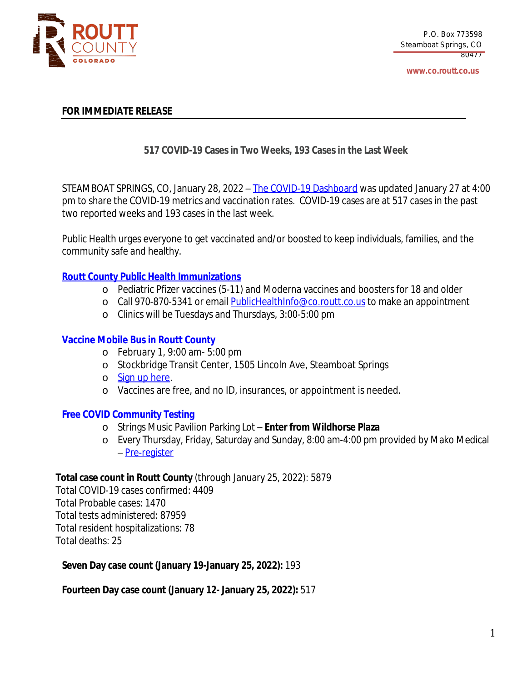

## **FOR IMMEDIATE RELEASE**

# **517 COVID-19 Cases in Two Weeks, 193 Cases in the Last Week**

STEAMBOAT SPRINGS, CO, January 28, 2022 – The COVID-19 [Dashboard](https://routtco-publichealth.shinyapps.io/COVID19-Dashboard/) was [updated](https://routtco-publichealth.shinyapps.io/COVID19-Dashboard/) [January](https://routtco-publichealth.shinyapps.io/COVID19-Dashboard/) [27](https://routtco-publichealth.shinyapps.io/COVID19-Dashboard/) [at](https://routtco-publichealth.shinyapps.io/COVID19-Dashboard/) [4:00](https://routtco-publichealth.shinyapps.io/COVID19-Dashboard/) [pm](https://routtco-publichealth.shinyapps.io/COVID19-Dashboard/) to [share](https://routtco-publichealth.shinyapps.io/COVID19-Dashboard/) [the](https://routtco-publichealth.shinyapps.io/COVID19-Dashboard/) COVID-19 metrics and [vaccination](https://routtco-publichealth.shinyapps.io/COVID19-Dashboard/) rate[s.](https://routtco-publichealth.shinyapps.io/COVID19-Dashboard/) [COVID-19](https://routtco-publichealth.shinyapps.io/COVID19-Dashboard/) cases are [at](https://routtco-publichealth.shinyapps.io/COVID19-Dashboard/) [517](https://routtco-publichealth.shinyapps.io/COVID19-Dashboard/) [cases](https://routtco-publichealth.shinyapps.io/COVID19-Dashboard/) in [the](https://routtco-publichealth.shinyapps.io/COVID19-Dashboard/) [past](https://routtco-publichealth.shinyapps.io/COVID19-Dashboard/) two [reported](https://routtco-publichealth.shinyapps.io/COVID19-Dashboard/) week[s](https://routtco-publichealth.shinyapps.io/COVID19-Dashboard/) [and](https://routtco-publichealth.shinyapps.io/COVID19-Dashboard/) [193](https://routtco-publichealth.shinyapps.io/COVID19-Dashboard/) cases in the last [week.](https://routtco-publichealth.shinyapps.io/COVID19-Dashboard/)

Public Health urges everyone to get vaccinated and/or boosted to keep [individuals,](https://routtco-publichealth.shinyapps.io/COVID19-Dashboard/) families, and the [community](https://routtco-publichealth.shinyapps.io/COVID19-Dashboard/) safe and healthy.

## **Routt County Public Health [Immunizations](https://www.covid19routtcounty.com/vaccine-information)**

- o Pediatric Pfizer vaccines (5-11) and Moderna vaccines and boosters for 18 and older
- o Call 970-870-5341 or email [PublicHealthInfo@co.routt.co.us](mailto:PublicHealthInfo@co.routt.co.us) to make an appointment
- o Clinics will be Tuesdays and Thursdays, 3:00-5:00 pm

## **[Vaccine Mobile Bus in Routt County](https://steamboat-21-cdphe-mvu3.youcanbook.me/)**

- o February 1, 9:00 am- 5:00 pm
- o Stockbridge Transit Center, 1505 Lincoln Ave, Steamboat Springs
- o [Sign up here](https://steamboat-21-cdphe-mvu3.youcanbook.me/).
- o Vaccines are free, and no ID, insurances, or appointment is needed.

### **Free COVID [Community](https://www.covid19routtcounty.com/get-tested-for-covid19) Testing**

- o Strings Music Pavilion Parking Lot **Enter from Wildhorse Plaza**
- o Every Thursday, Friday, Saturday and Sunday, 8:00 am-4:00 pm provided by Mako Medical – [Pre-register](https://mako.exchange/scheduler/registration/?location=5922)

### **Total case count in Routt [County](https://mako.exchange/scheduler/registration/?location=5922)** [\(through](https://mako.exchange/scheduler/registration/?location=5922) [January](https://mako.exchange/scheduler/registration/?location=5922) [25](https://mako.exchange/scheduler/registration/?location=5922), [2022\):](https://mako.exchange/scheduler/registration/?location=5922) [5879](https://mako.exchange/scheduler/registration/?location=5922)

Total [COVID-19](https://mako.exchange/scheduler/registration/?location=5922) cases [confirmed:](https://mako.exchange/scheduler/registration/?location=5922) [4409](https://mako.exchange/scheduler/registration/?location=5922) Total [Probable](https://mako.exchange/scheduler/registration/?location=5922) cases: [1470](https://mako.exchange/scheduler/registration/?location=5922) Total tests [administered:](https://mako.exchange/scheduler/registration/?location=5922) [87959](https://mako.exchange/scheduler/registration/?location=5922) Total resident [hospitalizations:](https://mako.exchange/scheduler/registration/?location=5922) [78](https://mako.exchange/scheduler/registration/?location=5922) Total [deaths:](https://mako.exchange/scheduler/registration/?location=5922) [25](https://mako.exchange/scheduler/registration/?location=5922)

**[Seven](https://mako.exchange/scheduler/registration/?location=5922) Day case count [\(January](https://mako.exchange/scheduler/registration/?location=5922) [19-January](https://mako.exchange/scheduler/registration/?location=5922) [25](https://mako.exchange/scheduler/registration/?location=5922), [2022\):](https://mako.exchange/scheduler/registration/?location=5922)** [193](https://mako.exchange/scheduler/registration/?location=5922)

**[Fourteen](https://mako.exchange/scheduler/registration/?location=5922) Day case [count](https://mako.exchange/scheduler/registration/?location=5922) ([January](https://mako.exchange/scheduler/registration/?location=5922) [12-](https://mako.exchange/scheduler/registration/?location=5922) [January](https://mako.exchange/scheduler/registration/?location=5922) [25](https://mako.exchange/scheduler/registration/?location=5922), [2022\):](https://mako.exchange/scheduler/registration/?location=5922)** [517](https://mako.exchange/scheduler/registration/?location=5922)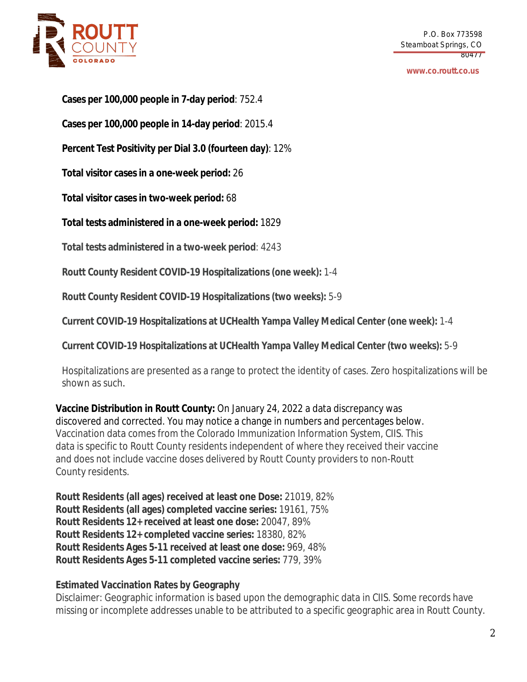

#### **www.co.routt.co.us**

**Cases per 100,000 people in 7-day period**: 752.4

**Cases per 100,000 people in 14-day period**: 2015.4

**Percent Test Positivity per Dial 3.0 (fourteen day)**: 12%

**Total visitor cases in a one-week period:** 26

**Total visitor cases in two-week period:** 68

**Total tests administered in a one-week period:** 1829

**Total tests administered in a two-week period**: 4243

**Routt County Resident COVID-19 Hospitalizations (one week):** 1-4

**Routt County Resident COVID-19 Hospitalizations (two weeks):** 5-9

**Current COVID-19 Hospitalizations at UCHealth Yampa Valley Medical Center (one week):** 1-4

**Current COVID-19 Hospitalizations at UCHealth Yampa Valley Medical Center (two weeks):** 5-9

Hospitalizations are presented as a range to protect the identity of cases. Zero hospitalizations will be shown as such.

**Vaccine Distribution in Routt County:** On January 24, 2022 a data discrepancy was discovered and corrected. You may notice a change in numbers and percentages below. Vaccination data comes from the Colorado Immunization Information System, CIIS. This data is specific to Routt County residents independent of where they received their vaccine and does not include vaccine doses delivered by Routt County providers to non-Routt County residents.

**Routt Residents (all ages) received at least one Dose:** 21019, 82% **Routt Residents (all ages) completed vaccine series:** 19161, 75% **Routt Residents 12+ received at least one dose:** 20047, 89% **Routt Residents 12+ completed vaccine series:** 18380, 82% **Routt Residents Ages 5-11 received at least one dose:** 969, 48% **Routt Residents Ages 5-11 completed vaccine series:** 779, 39%

# **Estimated Vaccination Rates by Geography**

Disclaimer: Geographic information is based upon the demographic data in CIIS. Some records have missing or incomplete addresses unable to be attributed to a specific geographic area in Routt County.